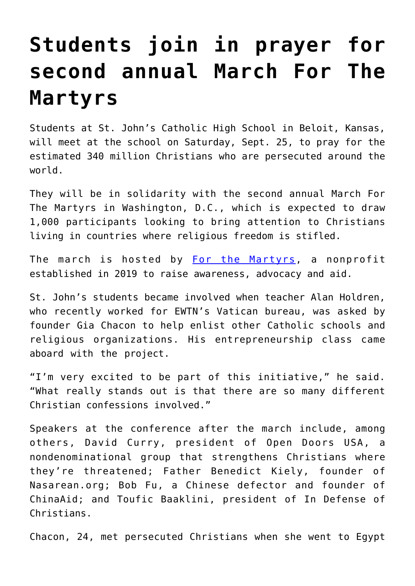## **[Students join in prayer for](https://www.osvnews.com/amp/2021/09/24/students-join-in-prayer-for-second-annual-march-for-the-martyrs/) [second annual March For The](https://www.osvnews.com/amp/2021/09/24/students-join-in-prayer-for-second-annual-march-for-the-martyrs/) [Martyrs](https://www.osvnews.com/amp/2021/09/24/students-join-in-prayer-for-second-annual-march-for-the-martyrs/)**

Students at St. John's Catholic High School in Beloit, Kansas, will meet at the school on Saturday, Sept. 25, to pray for the estimated 340 million Christians who are persecuted around the world.

They will be in solidarity with the second annual March For The Martyrs in Washington, D.C., which is expected to draw 1,000 participants looking to bring attention to Christians living in countries where religious freedom is stifled.

The march is hosted by [For the Martyrs,](https://forthemartyrs.com/register/?utm_term=for%20the%20martyrs&utm_campaign=March+for+the+Martyrs&utm_source=adwords&utm_medium=ppc&hsa_acc=9723476535&hsa_cam=11592208940&hsa_grp=118672749571&hsa_ad=537564169083&hsa_src=g&hsa_tgt=kwd-893593890676&hsa_kw=for%20the%20martyrs&hsa_mt=b&hsa_net=adwords&hsa_ver=3&gclid=CjwKCAjw7rWKBhAtEiwAJ3CWLMOGu_yLyCWIev0tjDKLJXCbthdRlTYbHYEd-crdaQIScDnoaiaqMBoC8esQAvD_BwE) a nonprofit established in 2019 to raise awareness, advocacy and aid.

St. John's students became involved when teacher Alan Holdren, who recently worked for EWTN's Vatican bureau, was asked by founder Gia Chacon to help enlist other Catholic schools and religious organizations. His entrepreneurship class came aboard with the project.

"I'm very excited to be part of this initiative," he said. "What really stands out is that there are so many different Christian confessions involved."

Speakers at the conference after the march include, among others, David Curry, president of Open Doors USA, a nondenominational group that strengthens Christians where they're threatened; Father Benedict Kiely, founder of Nasarean.org; Bob Fu, a Chinese defector and founder of ChinaAid; and Toufic Baaklini, president of In Defense of Christians.

Chacon, 24, met persecuted Christians when she went to Egypt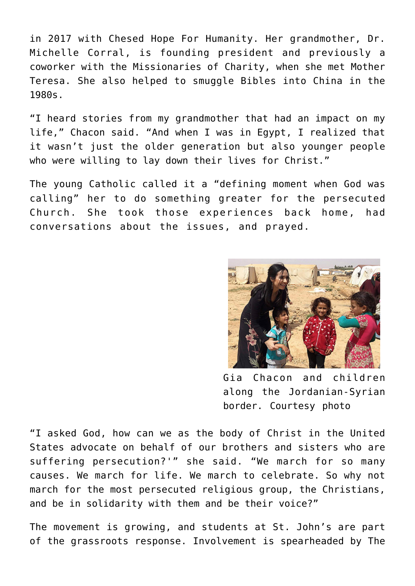in 2017 with Chesed Hope For Humanity. Her grandmother, Dr. Michelle Corral, is founding president and previously a coworker with the Missionaries of Charity, when she met Mother Teresa. She also helped to smuggle Bibles into China in the 1980s.

"I heard stories from my grandmother that had an impact on my life," Chacon said. "And when I was in Egypt, I realized that it wasn't just the older generation but also younger people who were willing to lay down their lives for Christ."

The young Catholic called it a "defining moment when God was calling" her to do something greater for the persecuted Church. She took those experiences back home, had conversations about the issues, and prayed.



Gia Chacon and children along the Jordanian-Syrian border. Courtesy photo

"I asked God, how can we as the body of Christ in the United States advocate on behalf of our brothers and sisters who are suffering persecution?'" she said. "We march for so many causes. We march for life. We march to celebrate. So why not march for the most persecuted religious group, the Christians, and be in solidarity with them and be their voice?"

The movement is growing, and students at St. John's are part of the grassroots response. Involvement is spearheaded by The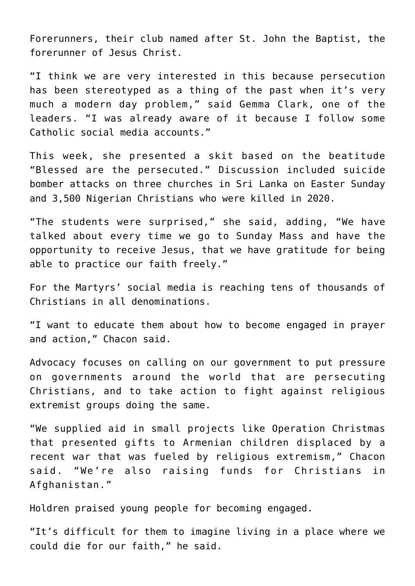Forerunners, their club named after St. John the Baptist, the forerunner of Jesus Christ.

"I think we are very interested in this because persecution has been stereotyped as a thing of the past when it's very much a modern day problem," said Gemma Clark, one of the leaders. "I was already aware of it because I follow some Catholic social media accounts."

This week, she presented a skit based on the beatitude "Blessed are the persecuted." Discussion included suicide bomber attacks on three churches in Sri Lanka on Easter Sunday and 3,500 Nigerian Christians who were killed in 2020.

"The students were surprised," she said, adding, "We have talked about every time we go to Sunday Mass and have the opportunity to receive Jesus, that we have gratitude for being able to practice our faith freely."

For the Martyrs' social media is reaching tens of thousands of Christians in all denominations.

"I want to educate them about how to become engaged in prayer and action," Chacon said.

Advocacy focuses on calling on our government to put pressure on governments around the world that are persecuting Christians, and to take action to fight against religious extremist groups doing the same.

"We supplied aid in small projects like Operation Christmas that presented gifts to Armenian children displaced by a recent war that was fueled by religious extremism," Chacon said. "We're also raising funds for Christians in Afghanistan."

Holdren praised young people for becoming engaged.

"It's difficult for them to imagine living in a place where we could die for our faith," he said.